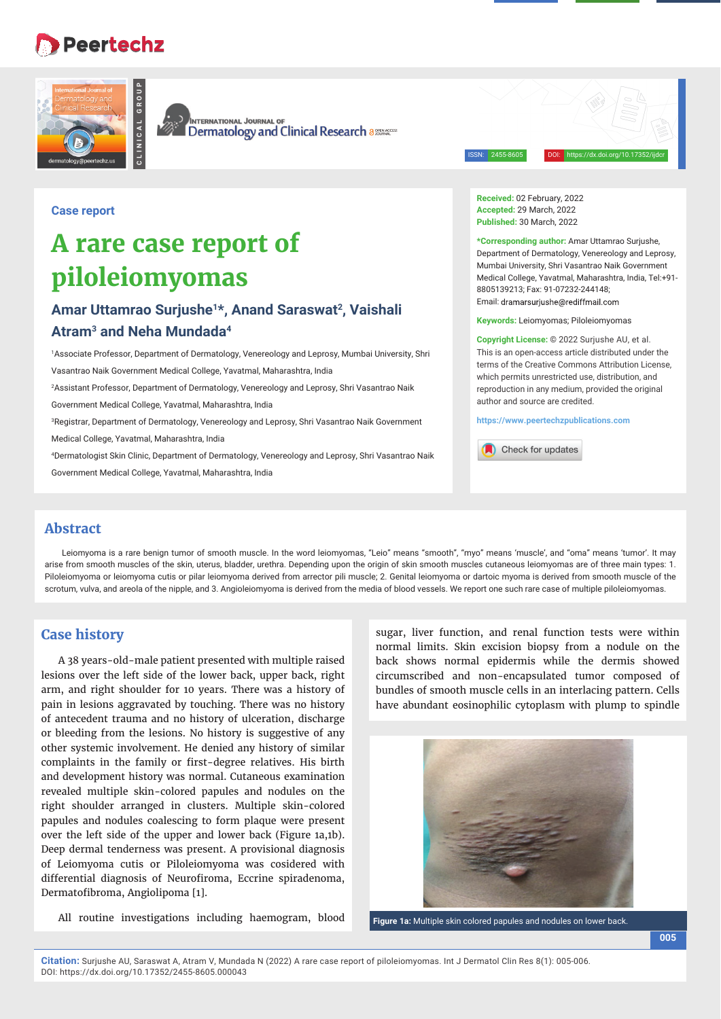## **Peertechz**





**CLINICAL GROUP**

**INTERNATIONAL JOURNAL OF** Dermatology and Clinical Research assumers

ISSN: 2455-8605 DOI: https://dx.doi.org/10.17352/ijdcr

**Case report**

# **A rare case report of piloleiomyomas**

### **Amar Uttamrao Surjushe1\*, Anand Saraswat2, Vaishali Atram3 and Neha Mundada4**

1 Associate Professor, Department of Dermatology, Venereology and Leprosy, Mumbai University, Shri Vasantrao Naik Government Medical College, Yavatmal, Maharashtra, India

2 Assistant Professor, Department of Dermatology, Venereology and Leprosy, Shri Vasantrao Naik

Government Medical College, Yavatmal, Maharashtra, India

3 Registrar, Department of Dermatology, Venereology and Leprosy, Shri Vasantrao Naik Government

Medical College, Yavatmal, Maharashtra, India

4 Dermatologist Skin Clinic, Department of Dermatology, Venereology and Leprosy, Shri Vasantrao Naik

Government Medical College, Yavatmal, Maharashtra, India

**Received:** 02 February, 2022 **Accepted:** 29 March, 2022 **Published:** 30 March, 2022

**\*Corresponding author:** Amar Uttamrao Surjushe, Department of Dermatology, Venereology and Leprosy, Mumbai University, Shri Vasantrao Naik Government Medical College, Yavatmal, Maharashtra, India, Tel:+91- 8805139213; Fax: 91-07232-244148; Email: dramarsuriushe@rediffmail.com

**Keywords:** Leiomyomas; Piloleiomyomas

**Copyright License:** © 2022 Surjushe AU, et al. This is an open-access article distributed under the terms of the Creative Commons Attribution License, which permits unrestricted use, distribution, and reproduction in any medium, provided the original author and source are credited.

**https://www.peertechzpublications.com**

Check for updates

#### **Abstract**

Leiomyoma is a rare benign tumor of smooth muscle. In the word leiomyomas, "Leio" means "smooth", "myo" means 'muscle', and "oma" means 'tumor'. It may arise from smooth muscles of the skin, uterus, bladder, urethra. Depending upon the origin of skin smooth muscles cutaneous leiomyomas are of three main types: 1. Piloleiomyoma or leiomyoma cutis or pilar leiomyoma derived from arrector pili muscle; 2. Genital leiomyoma or dartoic myoma is derived from smooth muscle of the scrotum, vulva, and areola of the nipple, and 3. Angioleiomyoma is derived from the media of blood vessels. We report one such rare case of multiple piloleiomyomas.

#### **Case history**

A 38 years-old-male patient presented with multiple raised lesions over the left side of the lower back, upper back, right arm, and right shoulder for 10 years. There was a history of pain in lesions aggravated by touching. There was no history of antecedent trauma and no history of ulceration, discharge or bleeding from the lesions. No history is suggestive of any other systemic involvement. He denied any history of similar complaints in the family or first-degree relatives. His birth and development history was normal. Cutaneous examination revealed multiple skin-colored papules and nodules on the right shoulder arranged in clusters. Multiple skin-colored papules and nodules coalescing to form plaque were present over the left side of the upper and lower back (Figure 1a,1b). Deep dermal tenderness was present. A provisional diagnosis of Leiomyoma cutis or Piloleiomyoma was cosidered with differential diagnosis of Neurofiroma, Eccrine spiradenoma, Dermatofibroma, Angiolipoma [1].

All routine investigations including haemogram, blood

sugar, liver function, and renal function tests were within normal limits. Skin excision biopsy from a nodule on the back shows normal epidermis while the dermis showed circumscribed and non-encapsulated tumor composed of bundles of smooth muscle cells in an interlacing pattern. Cells have abundant eosinophilic cytoplasm with plump to spindle



**Figure 1a:** Multiple skin colored papules and nodules on lower back.

**Citation:** Surjushe AU, Saraswat A, Atram V, Mundada N (2022) A rare case report of piloleiomyomas. Int J Dermatol Clin Res 8(1): 005-006. DOI: https://dx.doi.org/10.17352/2455-8605.000043